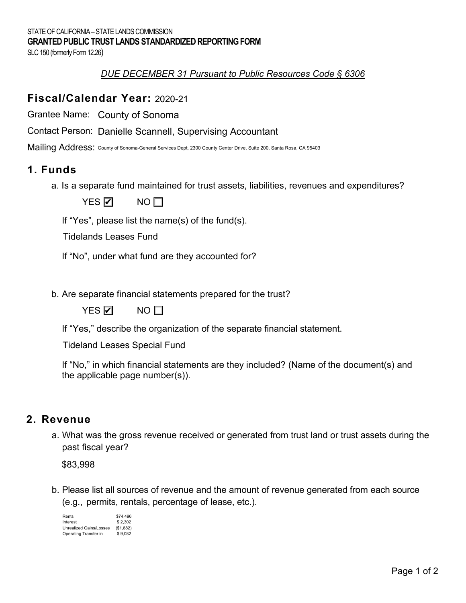SLC 150 (formerly Form 12.26)

### *DUE DECEMBER 31 Pursuant to Public Resources Code § 6306*

### **Fiscal/Calendar Year:**  2020-21

Grantee Name: County of Sonoma

Contact Person: Danielle Scannell, Supervising Accountant<br>Mailing Address: County of Sonoma-General Services Dept, 2300 County Center Drive, Suite 200, Sai

Mailing Address: County of Sonoma-General Services Dept, 2300 County Center Drive, Suite 200, Santa Rosa, CA 95403

### **1. Funds**

a. Is a separate fund maintained for trust assets, liabilities, revenues and expenditures?

YES **☑** NO

If "Yes", please list the name(s) of the fund(s).

Tidelands Leases Fund

If "No", under what fund are they accounted for?

b. Are separate financial statements prepared for the trust?



YES Ø NO

If "Yes," describe the organization of the separate financial statement.

Tideland Leases Special Fund

 If "No," in which financial statements are they included? (Name of the document(s) and the applicable page number(s)).

### **2. Revenue**

 a. What was the gross revenue received or generated from trust land or trust assets during the past fiscal year?

\$83,998

 b. Please list all sources of revenue and the amount of revenue generated from each source (e.g., permits, rentals, percentage of lease, etc.).

| Rents                          | \$74.496  |
|--------------------------------|-----------|
| Interest                       | \$2.302   |
| <b>Unrealized Gains/Losses</b> | (\$1,882) |
| Operating Transfer in          | \$9.082   |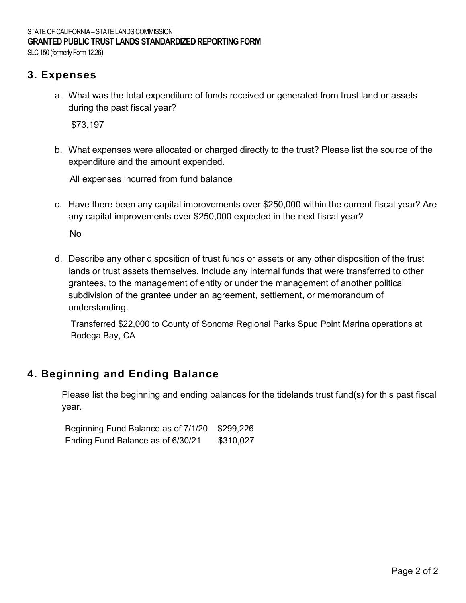SLC 150 (formerly Form 12.26)

## **3. Expenses**

 a. What was the total expenditure of funds received or generated from trust land or assets during the past fiscal year?

\$73,197

 b. What expenses were allocated or charged directly to the trust? Please list the source of the expenditure and the amount expended.

All expenses incurred from fund balance

 c. Have there been any capital improvements over \$250,000 within the current fiscal year? Are any capital improvements over \$250,000 expected in the next fiscal year?

No

 d. Describe any other disposition of trust funds or assets or any other disposition of the trust lands or trust assets themselves. Include any internal funds that were transferred to other grantees, to the management of entity or under the management of another political subdivision of the grantee under an agreement, settlement, or memorandum of understanding.

Transferred \$22,000 to County of Sonoma Regional Parks Spud Point Marina operations at Bodega Bay, CA

# **4. Beginning and Ending Balance**

 Please list the beginning and ending balances for the tidelands trust fund(s) for this past fiscal year.

| Beginning Fund Balance as of 7/1/20 \$299,226 |           |
|-----------------------------------------------|-----------|
| Ending Fund Balance as of 6/30/21             | \$310,027 |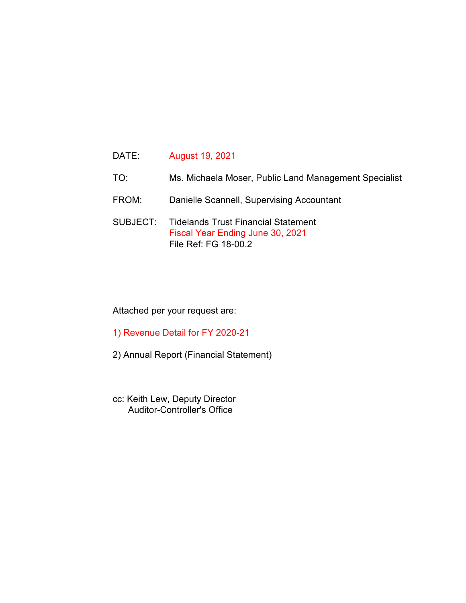- TO: Ms. Michaela Moser, Public Land Management Specialist
- FROM: Danielle Scannell, Supervising Accountant
- SUBJECT: Tidelands Trust Financial Statement Fiscal Year Ending June 30, 2021 File Ref: FG 18-00.2

### Attached per your request are:

- 1) Revenue Detail for FY 2020-21
- 2) Annual Report (Financial Statement)
- cc: Keith Lew, Deputy Director Auditor-Controller's Office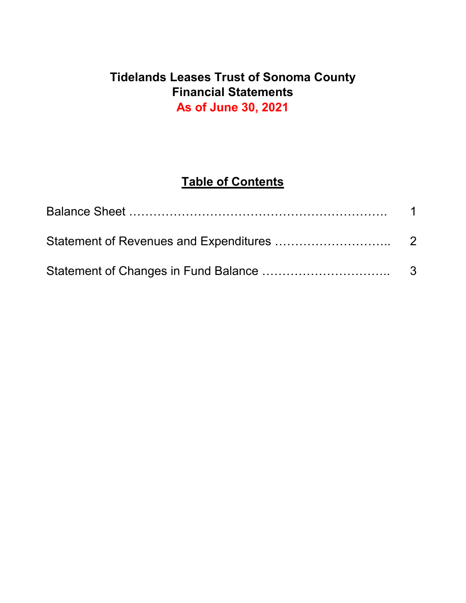# **Tidelands Leases Trust of Sonoma County Financial Statements As of June 30, 2021**

# **Table of Contents**

| $\overline{1}$ |
|----------------|
|                |
|                |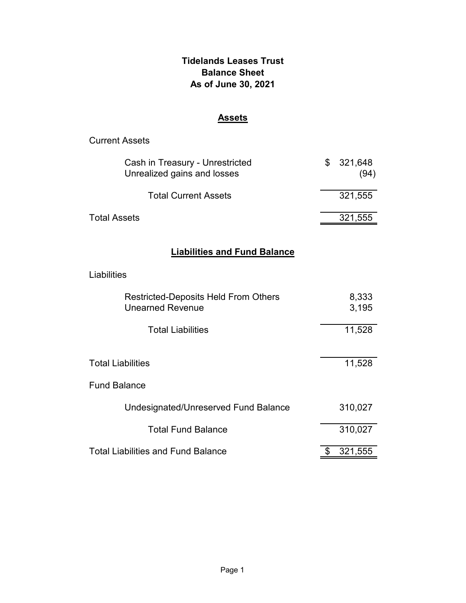### **Tidelands Leases Trust Balance Sheet As of June 30, 2021**

### **Assets**

| <b>Current Assets</b>                                                  |                       |
|------------------------------------------------------------------------|-----------------------|
| Cash in Treasury - Unrestricted<br>Unrealized gains and losses         | \$<br>321,648<br>(94) |
| <b>Total Current Assets</b>                                            | 321,555               |
| <b>Total Assets</b>                                                    | 321,555               |
| <b>Liabilities and Fund Balance</b>                                    |                       |
| Liabilities                                                            |                       |
| <b>Restricted-Deposits Held From Others</b><br><b>Unearned Revenue</b> | 8,333<br>3,195        |
| <b>Total Liabilities</b>                                               | 11,528                |
| <b>Total Liabilities</b>                                               | 11,528                |
| <b>Fund Balance</b>                                                    |                       |
| Undesignated/Unreserved Fund Balance                                   | 310,027               |
| <b>Total Fund Balance</b>                                              | 310,027               |
| <b>Total Liabilities and Fund Balance</b>                              | \$<br>321,555         |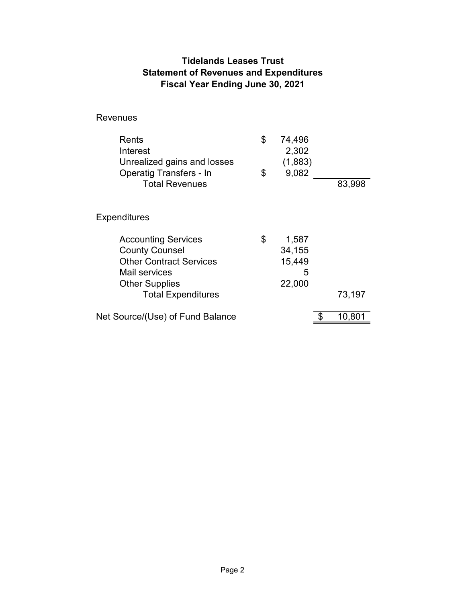### **Tidelands Leases Trust Statement of Revenues and Expenditures Fiscal Year Ending June 30, 2021**

Revenues

| <b>Rents</b><br>Interest<br>Unrealized gains and losses<br><b>Operatig Transfers - In</b><br><b>Total Revenues</b>              | \$<br>\$ | 74,496<br>2,302<br>(1,883)<br>9,082      | 83,998           |
|---------------------------------------------------------------------------------------------------------------------------------|----------|------------------------------------------|------------------|
| Expenditures                                                                                                                    |          |                                          |                  |
| <b>Accounting Services</b><br><b>County Counsel</b><br><b>Other Contract Services</b><br>Mail services<br><b>Other Supplies</b> | \$       | 1,587<br>34,155<br>15,449<br>5<br>22,000 |                  |
| <b>Total Expenditures</b><br>Net Source/(Use) of Fund Balance                                                                   |          |                                          | 73,197<br>10,801 |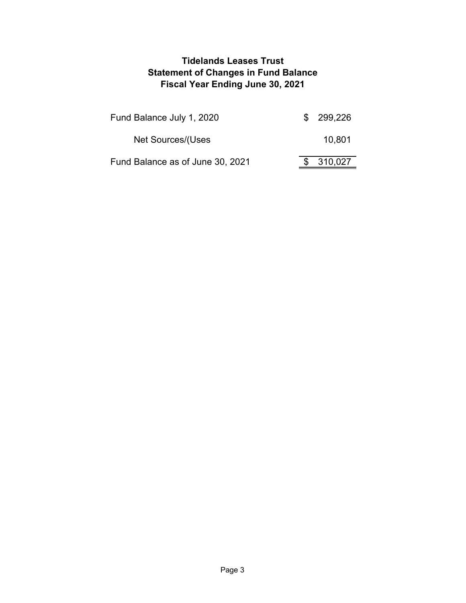### **Tidelands Leases Trust Statement of Changes in Fund Balance Fiscal Year Ending June 30, 2021**

| Fund Balance July 1, 2020        | \$299,226 |
|----------------------------------|-----------|
| Net Sources/(Uses                | 10,801    |
| Fund Balance as of June 30, 2021 | 310,027   |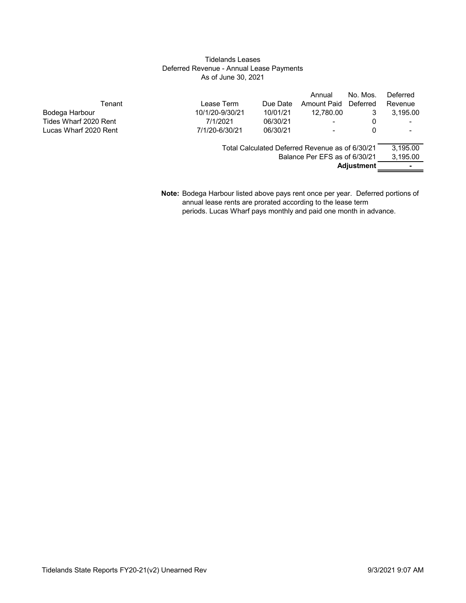#### Tidelands Leases Deferred Revenue - Annual Lease Payments As of June 30, 2021

|                       |                 |          | Annual                                          | No. Mos.          | Deferred |
|-----------------------|-----------------|----------|-------------------------------------------------|-------------------|----------|
| Tenant                | Lease Term      | Due Date | Amount Paid                                     | Deferred          | Revenue  |
| Bodega Harbour        | 10/1/20-9/30/21 | 10/01/21 | 12.780.00                                       | 3                 | 3.195.00 |
| Tides Wharf 2020 Rent | 7/1/2021        | 06/30/21 |                                                 | 0                 |          |
| Lucas Wharf 2020 Rent | 7/1/20-6/30/21  | 06/30/21 |                                                 | 0                 |          |
|                       |                 |          | Total Calculated Deferred Revenue as of 6/30/21 |                   | 3,195.00 |
|                       |                 |          | Balance Per EFS as of 6/30/21                   |                   | 3,195.00 |
|                       |                 |          |                                                 | <b>Adjustment</b> | ۰        |
|                       |                 |          |                                                 |                   |          |

**Note:** Bodega Harbour listed above pays rent once per year. Deferred portions of annual lease rents are prorated according to the lease term periods. Lucas Wharf pays monthly and paid one month in advance.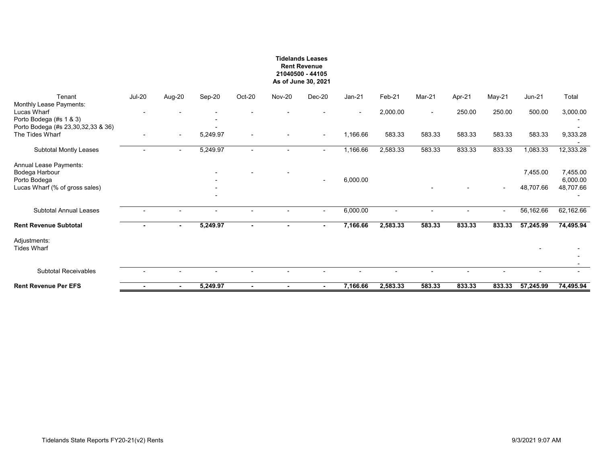#### **Tidelands Leases Rent Revenue 21040500 - 44105 As of June 30, 2021**

| Tenant                                                            | <b>Jul-20</b> | Aug-20 | Sep-20   | Oct-20                   | <b>Nov-20</b> | Dec-20                   | $Jan-21$ | Feb-21                   | Mar-21                   | Apr-21                   | May-21                   | <b>Jun-21</b> | Total                |
|-------------------------------------------------------------------|---------------|--------|----------|--------------------------|---------------|--------------------------|----------|--------------------------|--------------------------|--------------------------|--------------------------|---------------|----------------------|
| Monthly Lease Payments:<br>Lucas Wharf<br>Porto Bodega (#s 1 & 3) |               |        |          |                          |               |                          |          | 2,000.00                 | $\overline{\phantom{a}}$ | 250.00                   | 250.00                   | 500.00        | 3,000.00             |
| Porto Bodega (#s 23,30,32,33 & 36)<br>The Tides Wharf             | ۰             | $\sim$ | 5,249.97 | $\overline{\phantom{a}}$ |               | $\overline{\phantom{a}}$ | 1,166.66 | 583.33                   | 583.33                   | 583.33                   | 583.33                   | 583.33        | 9,333.28             |
| Subtotal Montly Leases                                            |               | $\sim$ | 5,249.97 | $\overline{\phantom{a}}$ |               | $\sim$                   | 1,166.66 | 2,583.33                 | 583.33                   | 833.33                   | 833.33                   | 1,083.33      | 12,333.28            |
| Annual Lease Payments:<br>Bodega Harbour<br>Porto Bodega          |               |        |          |                          |               | $\overline{\phantom{a}}$ | 6,000.00 |                          |                          |                          |                          | 7,455.00      | 7,455.00<br>6,000.00 |
| Lucas Wharf (% of gross sales)                                    |               |        |          |                          |               |                          |          |                          |                          |                          | $\overline{\phantom{a}}$ | 48,707.66     | 48,707.66            |
| <b>Subtotal Annual Leases</b>                                     |               |        |          |                          |               | $\overline{\phantom{0}}$ | 6,000.00 | $\overline{\phantom{a}}$ | $\blacksquare$           | $\overline{\phantom{0}}$ | $\sim$                   | 56,162.66     | 62,162.66            |
| <b>Rent Revenue Subtotal</b>                                      |               | $\sim$ | 5,249.97 | $\sim$                   |               | $\sim$                   | 7,166.66 | 2,583.33                 | 583.33                   | 833.33                   | 833.33                   | 57,245.99     | 74,495.94            |
| Adjustments:<br><b>Tides Wharf</b>                                |               |        |          |                          |               |                          |          |                          |                          |                          |                          |               |                      |
| <b>Subtotal Receivables</b>                                       |               |        |          |                          |               |                          |          |                          |                          |                          |                          |               |                      |
|                                                                   |               |        |          |                          |               |                          |          |                          |                          |                          |                          |               |                      |
| <b>Rent Revenue Per EFS</b>                                       |               | $\sim$ | 5,249.97 | $\sim$                   |               | $\sim$                   | 7,166.66 | 2,583.33                 | 583.33                   | 833.33                   | 833.33                   | 57,245.99     | 74,495.94            |